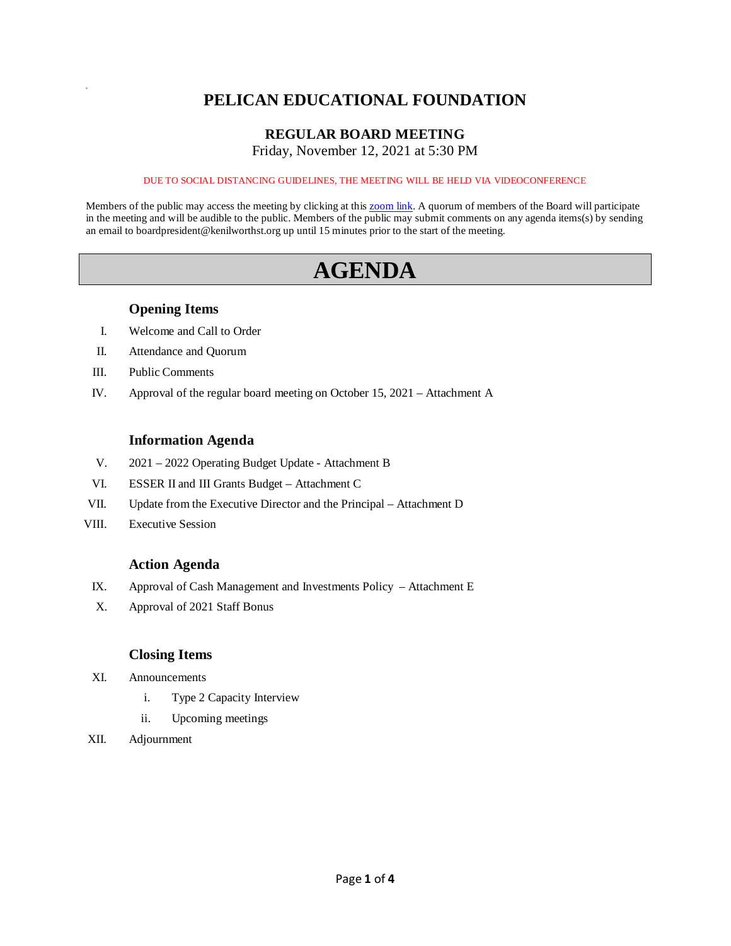# **PELICAN EDUCATIONAL FOUNDATION**

# **REGULAR BOARD MEETING**

Friday, November 12, 2021 at 5:30 PM

#### DUE TO SOCIAL DISTANCING GUIDELINES, THE MEETING WILL BE HELD VIA VIDEOCONFERENCE

Members of the public may access the meeting by clicking at this [zoom link.](https://kenilworthst-org.zoom.us/j/81078895036?pwd=U20xdXNxM1hTRG5RSGpPZUliUGYzdz09) A quorum of members of the Board will participate in the meeting and will be audible to the public. Members of the public may submit comments on any agenda items(s) by sending an email to boardpresident@kenilworthst.org up until 15 minutes prior to the start of the meeting.

# **AGENDA**

### **Opening Items**

- I. Welcome and Call to Order
- II. Attendance and Quorum
- III. Public Comments

a

IV. Approval of the regular board meeting on October 15, 2021 – Attachment A

#### **Information Agenda**

- V. 2021 2022 Operating Budget Update Attachment B
- VI. ESSER II and III Grants Budget Attachment C
- VII. Update from the Executive Director and the Principal Attachment D
- VIII. Executive Session

#### **Action Agenda**

- IX. Approval of Cash Management and Investments Policy Attachment E
- X. Approval of 2021 Staff Bonus

#### **Closing Items**

- XI. Announcements
	- i. Type 2 Capacity Interview
	- ii. Upcoming meetings
- XII. Adjournment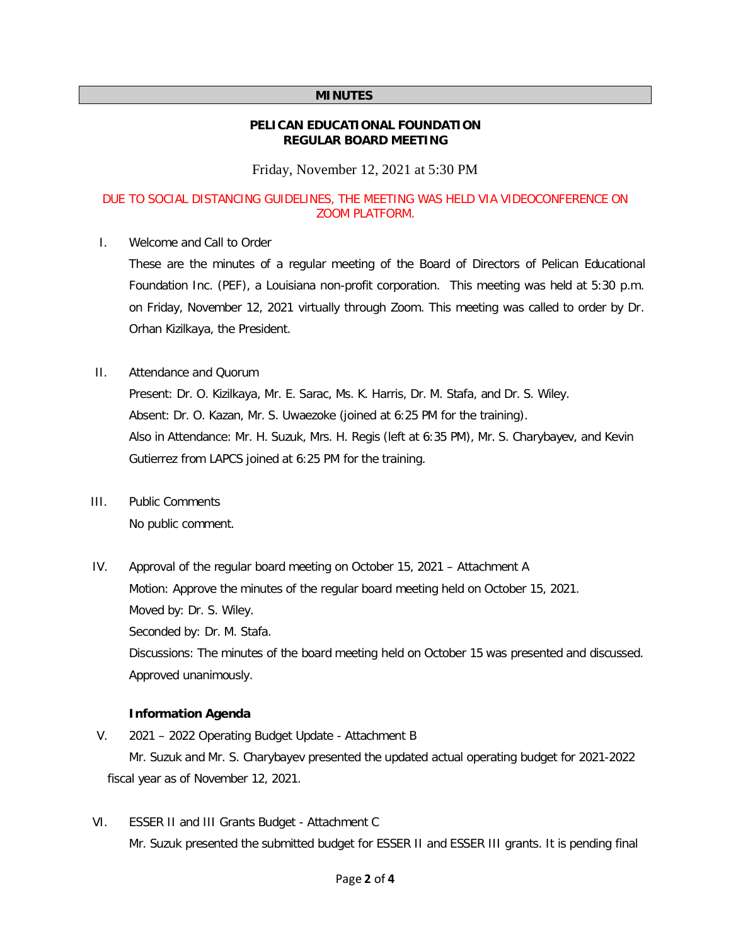#### **MINUTES**

#### **PELICAN EDUCATIONAL FOUNDATION REGULAR BOARD MEETING**

Friday, November 12, 2021 at 5:30 PM

#### DUE TO SOCIAL DISTANCING GUIDELINES, THE MEETING WAS HELD VIA VIDEOCONFERENCE ON ZOOM PLATFORM.

I. Welcome and Call to Order

These are the minutes of a regular meeting of the Board of Directors of Pelican Educational Foundation Inc. (PEF), a Louisiana non-profit corporation. This meeting was held at 5:30 p.m. on Friday, November 12, 2021 virtually through Zoom. This meeting was called to order by Dr. Orhan Kizilkaya, the President.

II. Attendance and Quorum

Present: Dr. O. Kizilkaya, Mr. E. Sarac, Ms. K. Harris, Dr. M. Stafa, and Dr. S. Wiley. Absent: Dr. O. Kazan, Mr. S. Uwaezoke (joined at 6:25 PM for the training). Also in Attendance: Mr. H. Suzuk, Mrs. H. Regis (left at 6:35 PM), Mr. S. Charybayev, and Kevin Gutierrez from LAPCS joined at 6:25 PM for the training.

- III. Public Comments No public comment.
- IV. Approval of the regular board meeting on October 15, 2021 Attachment A Motion: Approve the minutes of the regular board meeting held on October 15, 2021. Moved by: Dr. S. Wiley. Seconded by: Dr. M. Stafa. Discussions: The minutes of the board meeting held on October 15 was presented and discussed. Approved unanimously.

#### **Information Agenda**

- V. 2021 2022 Operating Budget Update Attachment B Mr. Suzuk and Mr. S. Charybayev presented the updated actual operating budget for 2021-2022 fiscal year as of November 12, 2021.
- VI. ESSER II and III Grants Budget Attachment C Mr. Suzuk presented the submitted budget for ESSER II and ESSER III grants. It is pending final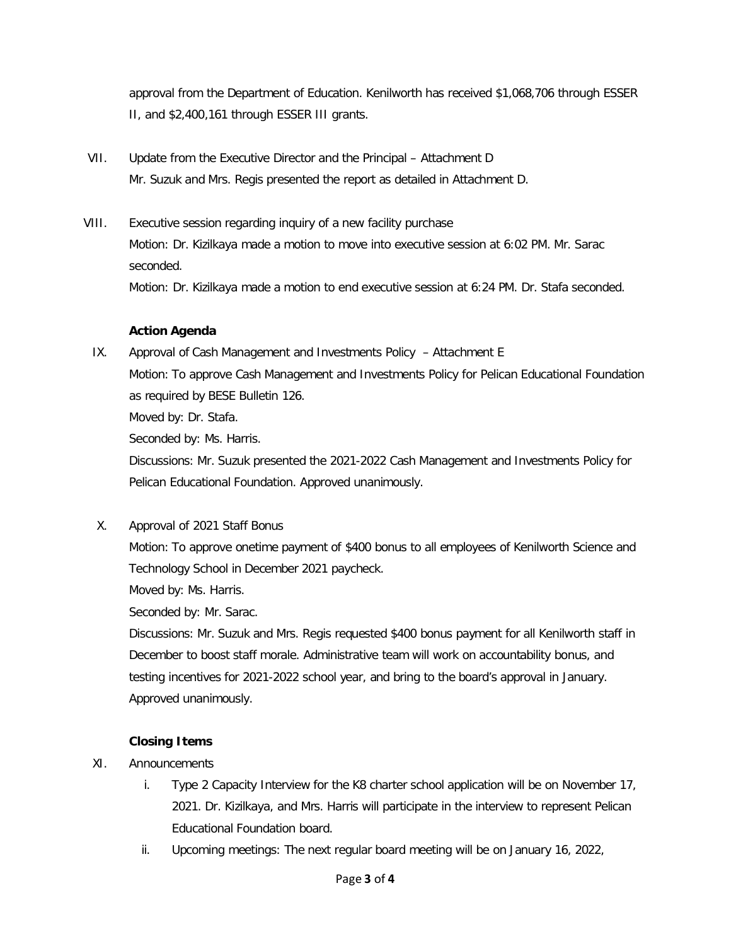approval from the Department of Education. Kenilworth has received \$1,068,706 through ESSER II, and \$2,400,161 through ESSER III grants.

- VII. Update from the Executive Director and the Principal Attachment D Mr. Suzuk and Mrs. Regis presented the report as detailed in Attachment D.
- VIII. Executive session regarding inquiry of a new facility purchase Motion: Dr. Kizilkaya made a motion to move into executive session at 6:02 PM. Mr. Sarac seconded. Motion: Dr. Kizilkaya made a motion to end executive session at 6:24 PM. Dr. Stafa seconded.

## **Action Agenda**

- IX. Approval of Cash Management and Investments Policy Attachment E Motion: To approve Cash Management and Investments Policy for Pelican Educational Foundation as required by BESE Bulletin 126. Moved by: Dr. Stafa. Seconded by: Ms. Harris. Discussions: Mr. Suzuk presented the 2021-2022 Cash Management and Investments Policy for
- X. Approval of 2021 Staff Bonus

Pelican Educational Foundation. Approved unanimously.

Motion: To approve onetime payment of \$400 bonus to all employees of Kenilworth Science and Technology School in December 2021 paycheck.

Moved by: Ms. Harris.

Seconded by: Mr. Sarac.

Discussions: Mr. Suzuk and Mrs. Regis requested \$400 bonus payment for all Kenilworth staff in December to boost staff morale. Administrative team will work on accountability bonus, and testing incentives for 2021-2022 school year, and bring to the board's approval in January. Approved unanimously.

#### **Closing Items**

- XI. Announcements
	- i. Type 2 Capacity Interview for the K8 charter school application will be on November 17, 2021. Dr. Kizilkaya, and Mrs. Harris will participate in the interview to represent Pelican Educational Foundation board.
	- ii. Upcoming meetings: The next regular board meeting will be on January 16, 2022,